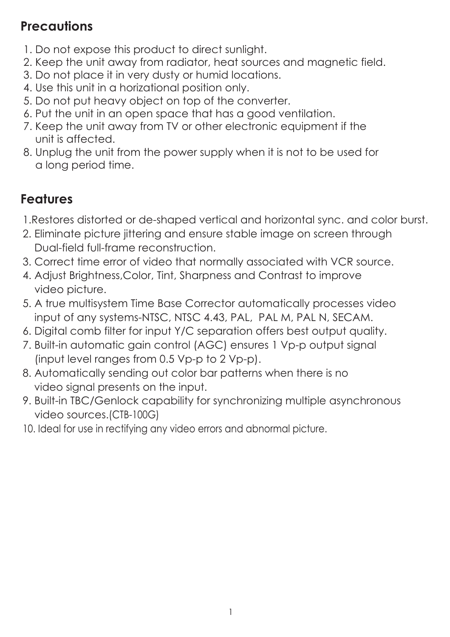# **Precautions**

- 1. Do not expose this product to direct sunlight.
- 2. Keep the unit away from radiator, heat sources and magnetic field.
- 3. Do not place it in very dusty or humid locations.
- 4. Use this unit in a horizational position only.
- 5. Do not put heavy object on top of the converter.
- 6. Put the unit in an open space that has a good ventilation.
- 7. Keep the unit away from TV or other electronic equipment if the unit is affected.
- 8. Unplug the unit from the power supply when it is not to be used for a long period time.

# **Features**

- 1.Restores distorted or de-shaped vertical and horizontal sync. and color burst.
- 2. Eliminate picture jittering and ensure stable image on screen through Dual-field full-frame reconstruction.
- 3. Correct time error of video that normally associated with VCR source.
- 4. Adjust Brightness,Color, Tint, Sharpness and Contrast to improve video picture.
- 5. A true multisystem Time Base Corrector automatically processes video input of any systems-NTSC, NTSC 4.43, PAL, PAL M, PAL N, SECAM.
- 6. Digital comb filter for input Y/C separation offers best output quality.
- 7. Built-in automatic gain control (AGC) ensures 1 Vp-p output signal (input level ranges from 0.5 Vp-p to 2 Vp-p).
- 8. Automatically sending out color bar patterns when there is no video signal presents on the input.
- 9. Built-in TBC/Genlock capability for synchronizing multiple asynchronous video sources.(CTB-100G)
- 10. Ideal for use in rectifying any video errors and abnormal picture.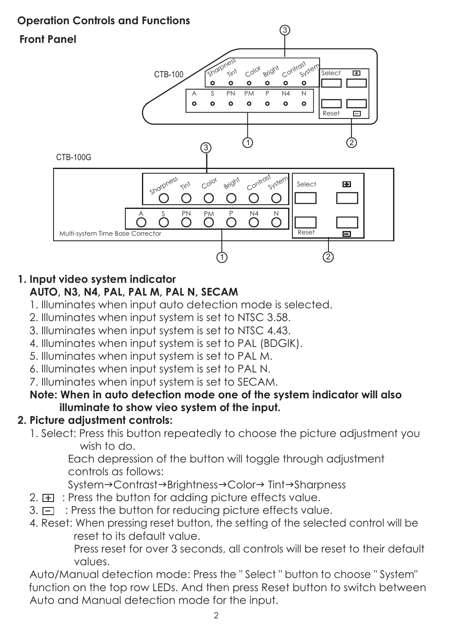## **Operation Controls and Functions**



## **1. Input video system indicator**

## **AUTO, N3, N4, PAL, PAL M, PAL N, SECAM**

- 1. Illuminates when input auto detection mode is selected.
- 2. Illuminates when input system is set to NTSC 3.58.
- 3. Illuminates when input system is set to NTSC 4.43.
- 4. Illuminates when input system is set to PAL (BDGIK).
- 5. Illuminates when input system is set to PAL M.
- 6. Illuminates when input system is set to PAL N.

7. Illuminates when input system is set to SECAM.

#### **Note: When in auto detection mode one of the system indicator will also illuminate to show vieo system of the input.**

### **2. Picture adjustment controls:**

 1. Select: Press this button repeatedly to choose the picture adjustment you wish to do.

 Each depression of the button will toggle through adjustment controls as follows:

System→Contrast→Brightness→Color→ Tint→Sharpness

- 2.  $\pm$  : Press the button for adding picture effects value.
- 2. En 1993 the button for reducing picture effects value.<br>3.  $\Box$  : Press the button for reducing picture effects value.
	- 4. Reset: When pressing reset button, the setting of the selected control will be reset to its default value.

 Press reset for over 3 seconds, all controls will be reset to their default values.

 Auto/Manual detection mode: Press the " Select " button to choose " System" function on the top row LEDs. And then press Reset button to switch between Auto and Manual detection mode for the input.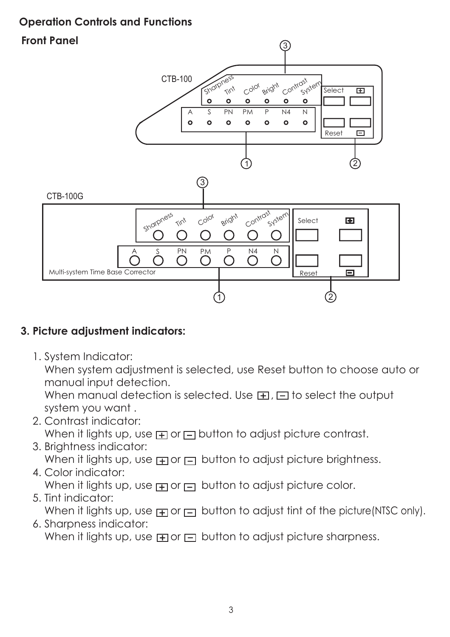### **Operation Controls and Functions**

## **Front Panel**



## **3. Picture adjustment indicators:**

1. System Indicator:

 When system adjustment is selected, use Reset button to choose auto or manual input detection.

When manual detection is selected. Use  $\mathbf{H}$ ,  $\Box$  to select the output system you want .

- 2. Contrast indicator: When it lights up, use  $\boxplus$  or  $\boxminus$  button to adjust picture contrast.
- 3. Brightness indicator: when it lights up, use  $\text{F}$  or  $\text{F}$  button to adjust picture brightness.

## 4. Color indicator: When it lights up, use  $\text{F}$  or  $\text{F}$  button to adjust picture color.

## 5. Tint indicator: When it lights up, use  $\Box$  or  $\Box$  button to adjust tint of the picture(NTSC only).

# 6. Sharpness indicator: When it lights up, use  $\text{F}$  or  $\text{F}$  button to adjust picture sharpness.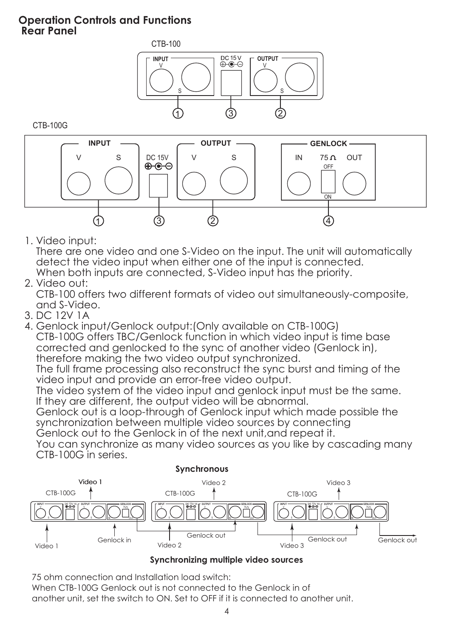#### **Operation Controls and Functions Rear Panel**



CTB-100G



1. Video input:

 There are one video and one S-Video on the input. The unit will automatically detect the video input when either one of the input is connected. When both inputs are connected, S-Video input has the priority.

2. Video out:

 CTB-100 offers two different formats of video out simultaneously-composite, and S-Video.

- 3. DC 12V 1A
- 4. Genlock input/Genlock output:(Only available on CTB-100G) CTB-100G offers TBC/Genlock function in which video input is time base corrected and genlocked to the sync of another video (Genlock in), therefore making the two video output synchronized.

The full frame processing also reconstruct the sync burst and timing of the video input and provide an error-free video output.

 The video system of the video input and genlock input must be the same. If they are different, the output video will be abnormal.

 Genlock out is a loop-through of Genlock input which made possible the synchronization between multiple video sources by connecting

Genlock out to the Genlock in of the next unit,and repeat it.

 You can synchronize as many video sources as you like by cascading many CTB-100G in series.



#### **Synchronizing multiple video sources**

75 ohm connection and Installation load switch:

When CTB-100G Genlock out is not connected to the Genlock in of another unit, set the switch to ON. Set to OFF if it is connected to another unit.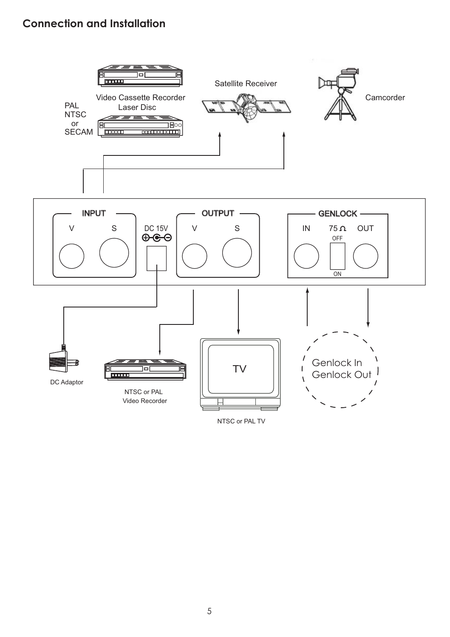### **Connection and Installation**



5